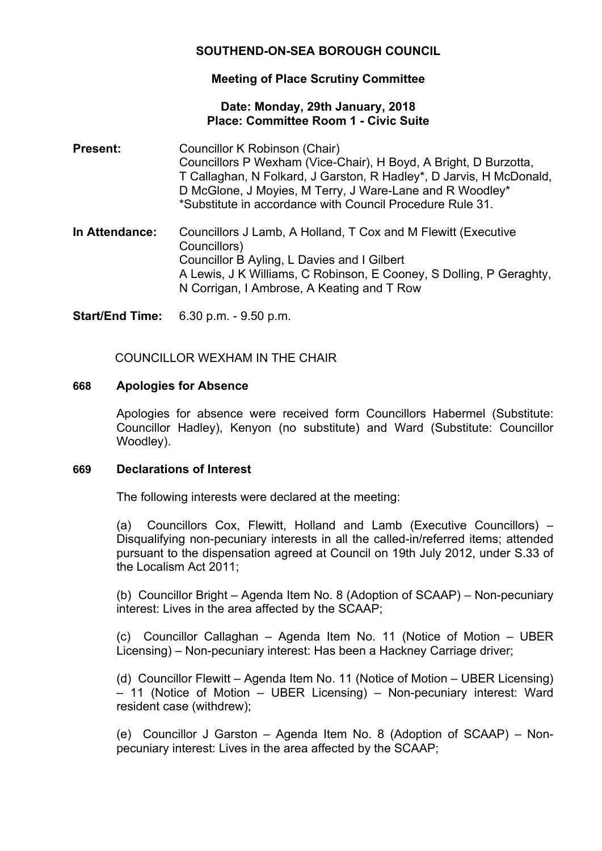# **SOUTHEND-ON-SEA BOROUGH COUNCIL**

## **Meeting of Place Scrutiny Committee**

### **Date: Monday, 29th January, 2018 Place: Committee Room 1 - Civic Suite**

- **Present:** Councillor K Robinson (Chair) Councillors P Wexham (Vice-Chair), H Boyd, A Bright, D Burzotta, T Callaghan, N Folkard, J Garston, R Hadley\*, D Jarvis, H McDonald, D McGlone, J Moyies, M Terry, J Ware-Lane and R Woodley\* \*Substitute in accordance with Council Procedure Rule 31.
- **In Attendance:** Councillors J Lamb, A Holland, T Cox and M Flewitt (Executive Councillors) Councillor B Ayling, L Davies and I Gilbert A Lewis, J K Williams, C Robinson, E Cooney, S Dolling, P Geraghty, N Corrigan, I Ambrose, A Keating and T Row

**Start/End Time:** 6.30 p.m. - 9.50 p.m.

COUNCILLOR WEXHAM IN THE CHAIR

## **668 Apologies for Absence**

Apologies for absence were received form Councillors Habermel (Substitute: Councillor Hadley), Kenyon (no substitute) and Ward (Substitute: Councillor Woodley).

## **669 Declarations of Interest**

The following interests were declared at the meeting:

(a) Councillors Cox, Flewitt, Holland and Lamb (Executive Councillors) – Disqualifying non-pecuniary interests in all the called-in/referred items; attended pursuant to the dispensation agreed at Council on 19th July 2012, under S.33 of the Localism Act 2011;

(b) Councillor Bright – Agenda Item No. 8 (Adoption of SCAAP) – Non-pecuniary interest: Lives in the area affected by the SCAAP;

(c) Councillor Callaghan – Agenda Item No. 11 (Notice of Motion – UBER Licensing) – Non-pecuniary interest: Has been a Hackney Carriage driver;

(d) Councillor Flewitt – Agenda Item No. 11 (Notice of Motion – UBER Licensing) – 11 (Notice of Motion – UBER Licensing) – Non-pecuniary interest: Ward resident case (withdrew);

(e) Councillor J Garston – Agenda Item No. 8 (Adoption of SCAAP) – Nonpecuniary interest: Lives in the area affected by the SCAAP;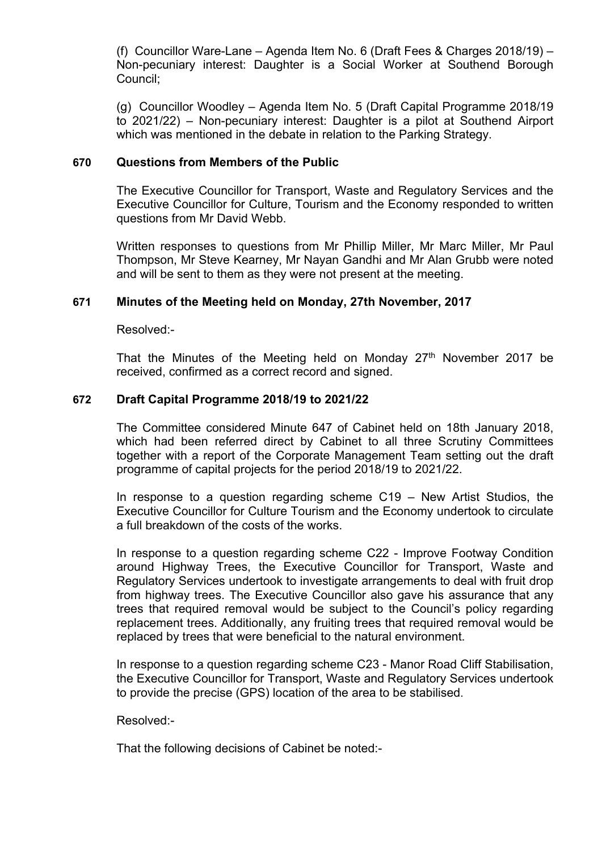(f) Councillor Ware-Lane – Agenda Item No. 6 (Draft Fees & Charges 2018/19) – Non-pecuniary interest: Daughter is a Social Worker at Southend Borough Council;

(g) Councillor Woodley – Agenda Item No. 5 (Draft Capital Programme 2018/19 to 2021/22) – Non-pecuniary interest: Daughter is a pilot at Southend Airport which was mentioned in the debate in relation to the Parking Strategy.

### **670 Questions from Members of the Public**

The Executive Councillor for Transport, Waste and Regulatory Services and the Executive Councillor for Culture, Tourism and the Economy responded to written questions from Mr David Webb.

Written responses to questions from Mr Phillip Miller, Mr Marc Miller, Mr Paul Thompson, Mr Steve Kearney, Mr Nayan Gandhi and Mr Alan Grubb were noted and will be sent to them as they were not present at the meeting.

### **671 Minutes of the Meeting held on Monday, 27th November, 2017**

Resolved:-

That the Minutes of the Meeting held on Monday  $27<sup>th</sup>$  November 2017 be received, confirmed as a correct record and signed.

### **672 Draft Capital Programme 2018/19 to 2021/22**

The Committee considered Minute 647 of Cabinet held on 18th January 2018, which had been referred direct by Cabinet to all three Scrutiny Committees together with a report of the Corporate Management Team setting out the draft programme of capital projects for the period 2018/19 to 2021/22.

In response to a question regarding scheme C19 – New Artist Studios, the Executive Councillor for Culture Tourism and the Economy undertook to circulate a full breakdown of the costs of the works.

In response to a question regarding scheme C22 - Improve Footway Condition around Highway Trees, the Executive Councillor for Transport, Waste and Regulatory Services undertook to investigate arrangements to deal with fruit drop from highway trees. The Executive Councillor also gave his assurance that any trees that required removal would be subject to the Council's policy regarding replacement trees. Additionally, any fruiting trees that required removal would be replaced by trees that were beneficial to the natural environment.

In response to a question regarding scheme C23 - Manor Road Cliff Stabilisation, the Executive Councillor for Transport, Waste and Regulatory Services undertook to provide the precise (GPS) location of the area to be stabilised.

#### Resolved:-

That the following decisions of Cabinet be noted:-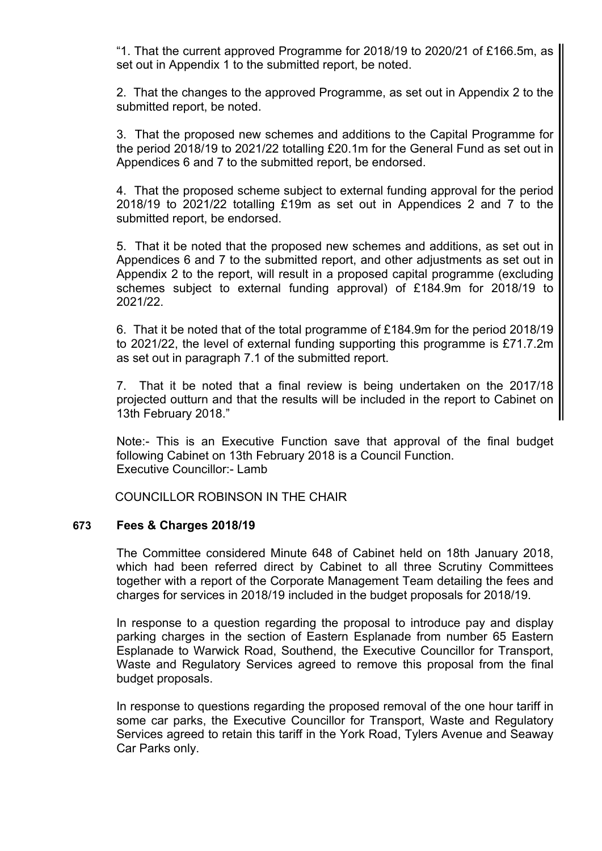"1. That the current approved Programme for 2018/19 to 2020/21 of £166.5m, as set out in Appendix 1 to the submitted report, be noted.

2. That the changes to the approved Programme, as set out in Appendix 2 to the submitted report, be noted.

3. That the proposed new schemes and additions to the Capital Programme for the period 2018/19 to 2021/22 totalling £20.1m for the General Fund as set out in Appendices 6 and 7 to the submitted report, be endorsed.

4. That the proposed scheme subject to external funding approval for the period 2018/19 to 2021/22 totalling £19m as set out in Appendices 2 and 7 to the submitted report, be endorsed.

5. That it be noted that the proposed new schemes and additions, as set out in Appendices 6 and 7 to the submitted report, and other adjustments as set out in Appendix 2 to the report, will result in a proposed capital programme (excluding schemes subject to external funding approval) of £184.9m for 2018/19 to 2021/22.

6. That it be noted that of the total programme of £184.9m for the period 2018/19 to 2021/22, the level of external funding supporting this programme is £71.7.2m as set out in paragraph 7.1 of the submitted report.

7. That it be noted that a final review is being undertaken on the 2017/18 projected outturn and that the results will be included in the report to Cabinet on 13th February 2018."

Note:- This is an Executive Function save that approval of the final budget following Cabinet on 13th February 2018 is a Council Function. Executive Councillor:- Lamb

COUNCILLOR ROBINSON IN THE CHAIR

#### **673 Fees & Charges 2018/19**

The Committee considered Minute 648 of Cabinet held on 18th January 2018, which had been referred direct by Cabinet to all three Scrutiny Committees together with a report of the Corporate Management Team detailing the fees and charges for services in 2018/19 included in the budget proposals for 2018/19.

In response to a question regarding the proposal to introduce pay and display parking charges in the section of Eastern Esplanade from number 65 Eastern Esplanade to Warwick Road, Southend, the Executive Councillor for Transport, Waste and Regulatory Services agreed to remove this proposal from the final budget proposals.

In response to questions regarding the proposed removal of the one hour tariff in some car parks, the Executive Councillor for Transport, Waste and Regulatory Services agreed to retain this tariff in the York Road, Tylers Avenue and Seaway Car Parks only.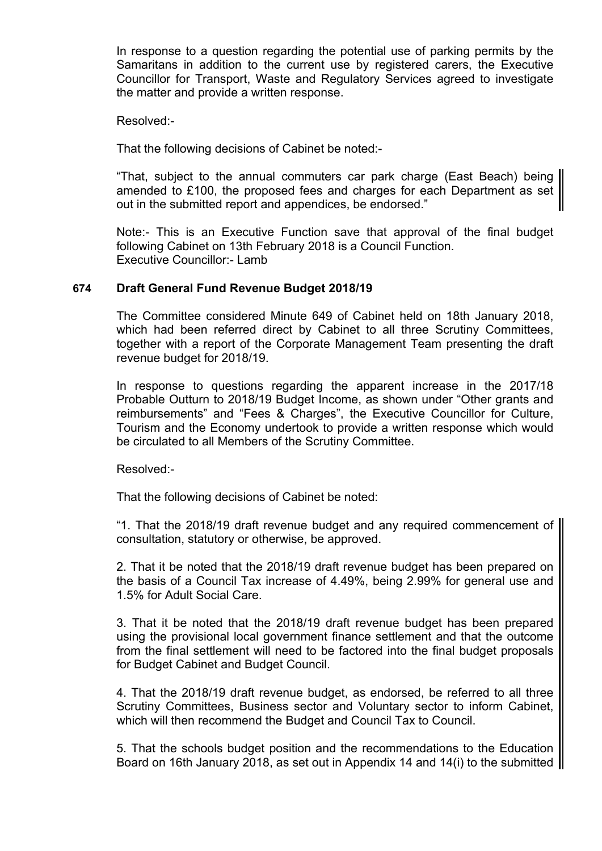In response to a question regarding the potential use of parking permits by the Samaritans in addition to the current use by registered carers, the Executive Councillor for Transport, Waste and Regulatory Services agreed to investigate the matter and provide a written response.

Resolved:-

That the following decisions of Cabinet be noted:-

"That, subject to the annual commuters car park charge (East Beach) being amended to £100, the proposed fees and charges for each Department as set out in the submitted report and appendices, be endorsed."

Note:- This is an Executive Function save that approval of the final budget following Cabinet on 13th February 2018 is a Council Function. Executive Councillor:- Lamb

### **674 Draft General Fund Revenue Budget 2018/19**

The Committee considered Minute 649 of Cabinet held on 18th January 2018, which had been referred direct by Cabinet to all three Scrutiny Committees, together with a report of the Corporate Management Team presenting the draft revenue budget for 2018/19.

In response to questions regarding the apparent increase in the 2017/18 Probable Outturn to 2018/19 Budget Income, as shown under "Other grants and reimbursements" and "Fees & Charges", the Executive Councillor for Culture, Tourism and the Economy undertook to provide a written response which would be circulated to all Members of the Scrutiny Committee.

Resolved:-

That the following decisions of Cabinet be noted:

"1. That the 2018/19 draft revenue budget and any required commencement of consultation, statutory or otherwise, be approved.

2. That it be noted that the 2018/19 draft revenue budget has been prepared on the basis of a Council Tax increase of 4.49%, being 2.99% for general use and 1.5% for Adult Social Care.

3. That it be noted that the 2018/19 draft revenue budget has been prepared using the provisional local government finance settlement and that the outcome from the final settlement will need to be factored into the final budget proposals for Budget Cabinet and Budget Council.

4. That the 2018/19 draft revenue budget, as endorsed, be referred to all three Scrutiny Committees, Business sector and Voluntary sector to inform Cabinet, which will then recommend the Budget and Council Tax to Council.

5. That the schools budget position and the recommendations to the Education Board on 16th January 2018, as set out in Appendix 14 and 14(i) to the submitted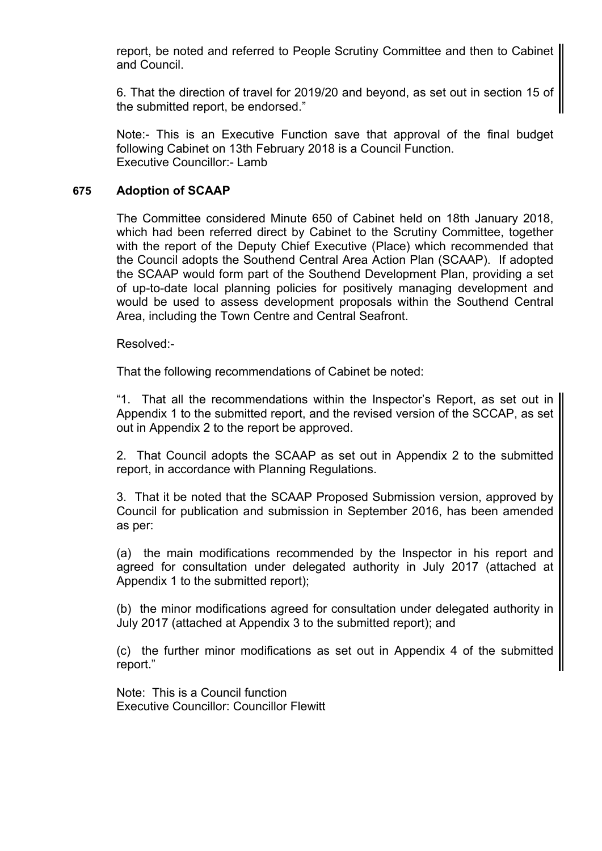report, be noted and referred to People Scrutiny Committee and then to Cabinet and Council.

6. That the direction of travel for 2019/20 and beyond, as set out in section 15 of the submitted report, be endorsed."

Note:- This is an Executive Function save that approval of the final budget following Cabinet on 13th February 2018 is a Council Function. Executive Councillor:- Lamb

## **675 Adoption of SCAAP**

The Committee considered Minute 650 of Cabinet held on 18th January 2018, which had been referred direct by Cabinet to the Scrutiny Committee, together with the report of the Deputy Chief Executive (Place) which recommended that the Council adopts the Southend Central Area Action Plan (SCAAP). If adopted the SCAAP would form part of the Southend Development Plan, providing a set of up-to-date local planning policies for positively managing development and would be used to assess development proposals within the Southend Central Area, including the Town Centre and Central Seafront.

Resolved:-

That the following recommendations of Cabinet be noted:

"1. That all the recommendations within the Inspector's Report, as set out in Appendix 1 to the submitted report, and the revised version of the SCCAP, as set out in Appendix 2 to the report be approved.

2. That Council adopts the SCAAP as set out in Appendix 2 to the submitted report, in accordance with Planning Regulations.

3. That it be noted that the SCAAP Proposed Submission version, approved by Council for publication and submission in September 2016, has been amended as per:

(a) the main modifications recommended by the Inspector in his report and agreed for consultation under delegated authority in July 2017 (attached at Appendix 1 to the submitted report);

(b) the minor modifications agreed for consultation under delegated authority in July 2017 (attached at Appendix 3 to the submitted report); and

(c) the further minor modifications as set out in Appendix 4 of the submitted report."

Note: This is a Council function Executive Councillor: Councillor Flewitt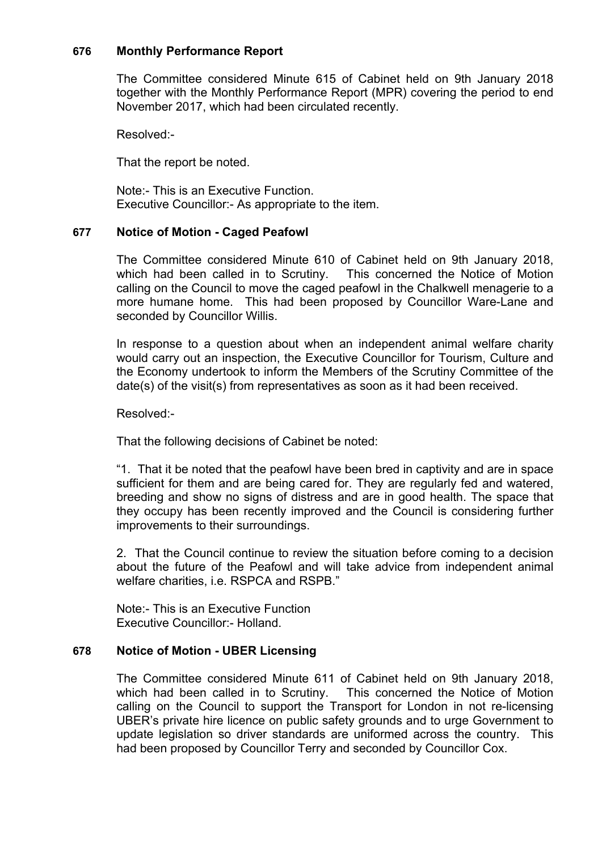## **676 Monthly Performance Report**

The Committee considered Minute 615 of Cabinet held on 9th January 2018 together with the Monthly Performance Report (MPR) covering the period to end November 2017, which had been circulated recently.

Resolved:-

That the report be noted.

Note:- This is an Executive Function. Executive Councillor:- As appropriate to the item.

### **677 Notice of Motion - Caged Peafowl**

The Committee considered Minute 610 of Cabinet held on 9th January 2018, which had been called in to Scrutiny. This concerned the Notice of Motion calling on the Council to move the caged peafowl in the Chalkwell menagerie to a more humane home. This had been proposed by Councillor Ware-Lane and seconded by Councillor Willis.

In response to a question about when an independent animal welfare charity would carry out an inspection, the Executive Councillor for Tourism, Culture and the Economy undertook to inform the Members of the Scrutiny Committee of the date(s) of the visit(s) from representatives as soon as it had been received.

Resolved:-

That the following decisions of Cabinet be noted:

"1. That it be noted that the peafowl have been bred in captivity and are in space sufficient for them and are being cared for. They are regularly fed and watered, breeding and show no signs of distress and are in good health. The space that they occupy has been recently improved and the Council is considering further improvements to their surroundings.

2. That the Council continue to review the situation before coming to a decision about the future of the Peafowl and will take advice from independent animal welfare charities, i.e. RSPCA and RSPB."

Note:- This is an Executive Function Executive Councillor:- Holland.

## **678 Notice of Motion - UBER Licensing**

The Committee considered Minute 611 of Cabinet held on 9th January 2018, which had been called in to Scrutiny. This concerned the Notice of Motion calling on the Council to support the Transport for London in not re-licensing UBER's private hire licence on public safety grounds and to urge Government to update legislation so driver standards are uniformed across the country. This had been proposed by Councillor Terry and seconded by Councillor Cox.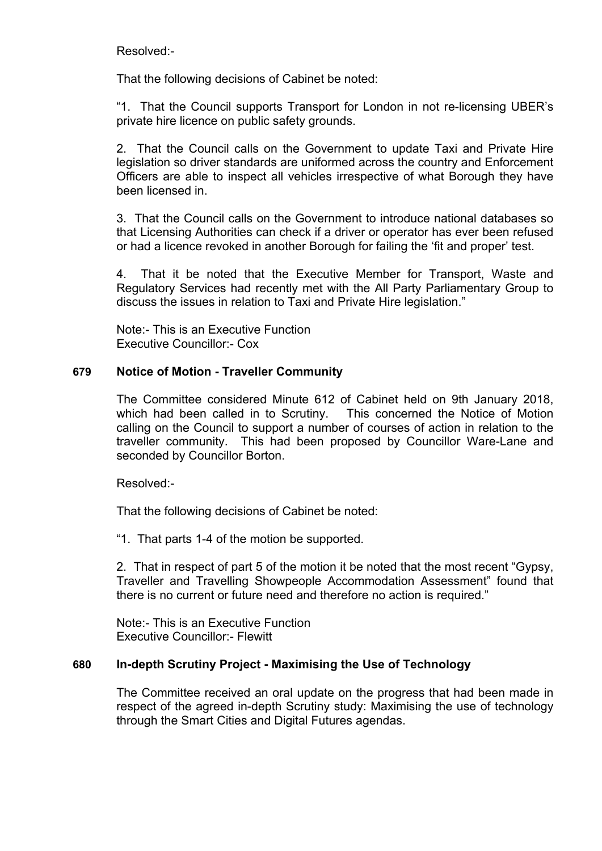Resolved:-

That the following decisions of Cabinet be noted:

"1. That the Council supports Transport for London in not re-licensing UBER's private hire licence on public safety grounds.

2. That the Council calls on the Government to update Taxi and Private Hire legislation so driver standards are uniformed across the country and Enforcement Officers are able to inspect all vehicles irrespective of what Borough they have been licensed in.

3. That the Council calls on the Government to introduce national databases so that Licensing Authorities can check if a driver or operator has ever been refused or had a licence revoked in another Borough for failing the 'fit and proper' test.

4. That it be noted that the Executive Member for Transport, Waste and Regulatory Services had recently met with the All Party Parliamentary Group to discuss the issues in relation to Taxi and Private Hire legislation."

Note:- This is an Executive Function Executive Councillor:- Cox

## **679 Notice of Motion - Traveller Community**

The Committee considered Minute 612 of Cabinet held on 9th January 2018, which had been called in to Scrutiny. This concerned the Notice of Motion calling on the Council to support a number of courses of action in relation to the traveller community. This had been proposed by Councillor Ware-Lane and seconded by Councillor Borton.

Resolved:-

That the following decisions of Cabinet be noted:

"1. That parts 1-4 of the motion be supported.

2. That in respect of part 5 of the motion it be noted that the most recent "Gypsy, Traveller and Travelling Showpeople Accommodation Assessment" found that there is no current or future need and therefore no action is required."

Note:- This is an Executive Function Executive Councillor:- Flewitt

#### **680 In-depth Scrutiny Project - Maximising the Use of Technology**

The Committee received an oral update on the progress that had been made in respect of the agreed in-depth Scrutiny study: Maximising the use of technology through the Smart Cities and Digital Futures agendas.